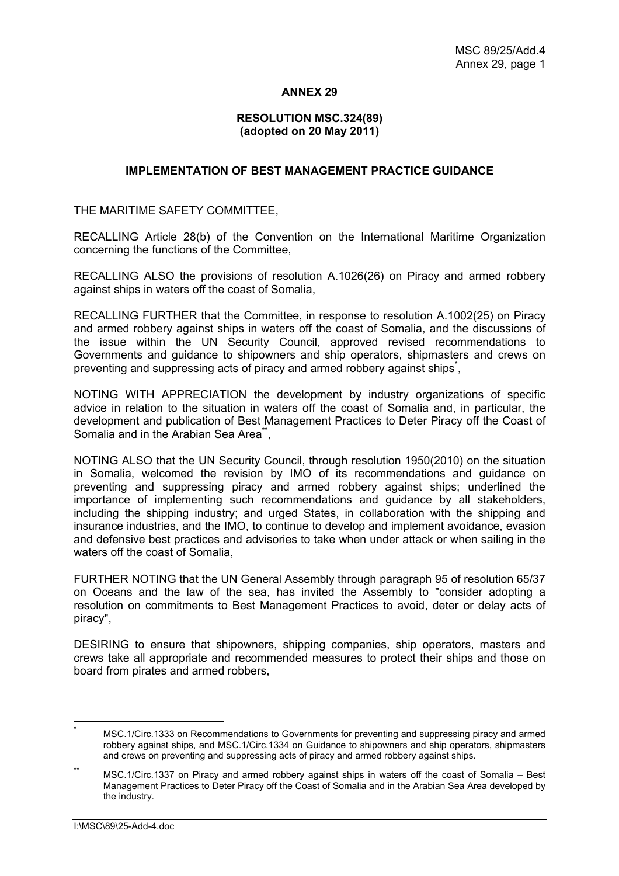## **ANNEX 29**

## **RESOLUTION MSC.324(89) (adopted on 20 May 2011)**

## **IMPLEMENTATION OF BEST MANAGEMENT PRACTICE GUIDANCE**

THE MARITIME SAFETY COMMITTEE,

RECALLING Article 28(b) of the Convention on the International Maritime Organization concerning the functions of the Committee,

RECALLING ALSO the provisions of resolution A.1026(26) on Piracy and armed robbery against ships in waters off the coast of Somalia,

RECALLING FURTHER that the Committee, in response to resolution A.1002(25) on Piracy and armed robbery against ships in waters off the coast of Somalia, and the discussions of the issue within the UN Security Council, approved revised recommendations to Governments and guidance to shipowners and ship operators, shipmasters and crews on preventing and suppressing acts of piracy and armed robbery against ships<sup>\*</sup>,

NOTING WITH APPRECIATION the development by industry organizations of specific advice in relation to the situation in waters off the coast of Somalia and, in particular, the development and publication of Best Management Practices to Deter Piracy off the Coast of Somalia and in the Arabian Sea Area<sup>\*\*</sup>,

NOTING ALSO that the UN Security Council, through resolution 1950(2010) on the situation in Somalia, welcomed the revision by IMO of its recommendations and guidance on preventing and suppressing piracy and armed robbery against ships; underlined the importance of implementing such recommendations and guidance by all stakeholders, including the shipping industry; and urged States, in collaboration with the shipping and insurance industries, and the IMO, to continue to develop and implement avoidance, evasion and defensive best practices and advisories to take when under attack or when sailing in the waters off the coast of Somalia,

FURTHER NOTING that the UN General Assembly through paragraph 95 of resolution 65/37 on Oceans and the law of the sea, has invited the Assembly to "consider adopting a resolution on commitments to Best Management Practices to avoid, deter or delay acts of piracy",

DESIRING to ensure that shipowners, shipping companies, ship operators, masters and crews take all appropriate and recommended measures to protect their ships and those on board from pirates and armed robbers,

<sup>\*</sup> MSC.1/Circ.1333 on Recommendations to Governments for preventing and suppressing piracy and armed robbery against ships, and MSC.1/Circ.1334 on Guidance to shipowners and ship operators, shipmasters and crews on preventing and suppressing acts of piracy and armed robbery against ships.

MSC.1/Circ.1337 on Piracy and armed robbery against ships in waters off the coast of Somalia – Best Management Practices to Deter Piracy off the Coast of Somalia and in the Arabian Sea Area developed by the industry.